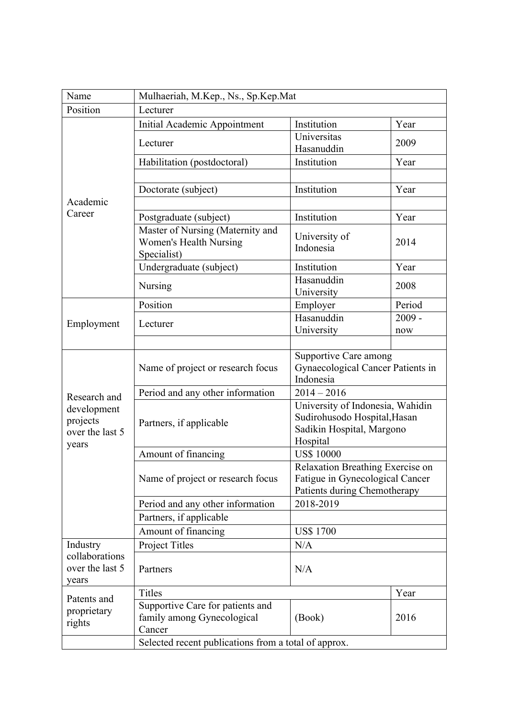| Name                                       | Mulhaeriah, M.Kep., Ns., Sp.Kep.Mat                                      |                                                                                                           |          |  |
|--------------------------------------------|--------------------------------------------------------------------------|-----------------------------------------------------------------------------------------------------------|----------|--|
| Position                                   | Lecturer                                                                 |                                                                                                           |          |  |
| Academic<br>Career                         | Initial Academic Appointment                                             | Institution                                                                                               | Year     |  |
|                                            | Lecturer                                                                 | Universitas<br>Hasanuddin                                                                                 | 2009     |  |
|                                            | Habilitation (postdoctoral)                                              | Institution                                                                                               | Year     |  |
|                                            |                                                                          |                                                                                                           |          |  |
|                                            | Doctorate (subject)                                                      | Institution                                                                                               | Year     |  |
|                                            |                                                                          |                                                                                                           |          |  |
|                                            | Postgraduate (subject)                                                   | Institution                                                                                               | Year     |  |
|                                            | Master of Nursing (Maternity and<br><b>Women's Health Nursing</b>        | University of<br>Indonesia                                                                                | 2014     |  |
|                                            | Specialist)<br>Undergraduate (subject)                                   | Institution                                                                                               | Year     |  |
|                                            | Nursing                                                                  | Hasanuddin<br>University                                                                                  | 2008     |  |
|                                            | Position                                                                 | Employer                                                                                                  | Period   |  |
|                                            |                                                                          | Hasanuddin                                                                                                | $2009 -$ |  |
| Employment                                 | Lecturer                                                                 | University                                                                                                | now      |  |
|                                            |                                                                          |                                                                                                           |          |  |
|                                            | Name of project or research focus                                        | <b>Supportive Care among</b><br>Gynaecological Cancer Patients in<br>Indonesia                            |          |  |
| Research and                               | Period and any other information                                         | $2014 - 2016$                                                                                             |          |  |
| development<br>projects<br>over the last 5 | Partners, if applicable                                                  | University of Indonesia, Wahidin<br>Sudirohusodo Hospital, Hasan<br>Sadikin Hospital, Margono<br>Hospital |          |  |
| years                                      | Amount of financing                                                      | <b>US\$ 10000</b>                                                                                         |          |  |
|                                            | Name of project or research focus                                        | Relaxation Breathing Exercise on<br>Fatigue in Gynecological Cancer<br>Patients during Chemotherapy       |          |  |
|                                            | Period and any other information                                         | 2018-2019                                                                                                 |          |  |
|                                            | Partners, if applicable                                                  |                                                                                                           |          |  |
|                                            | Amount of financing                                                      | <b>US\$1700</b>                                                                                           |          |  |
| Industry                                   | Project Titles                                                           | N/A                                                                                                       |          |  |
| collaborations<br>over the last 5<br>years | Partners                                                                 | N/A                                                                                                       |          |  |
| Patents and<br>proprietary<br>rights       | <b>Titles</b>                                                            |                                                                                                           | Year     |  |
|                                            | Supportive Care for patients and<br>family among Gynecological<br>Cancer | (Book)                                                                                                    | 2016     |  |
|                                            | Selected recent publications from a total of approx.                     |                                                                                                           |          |  |